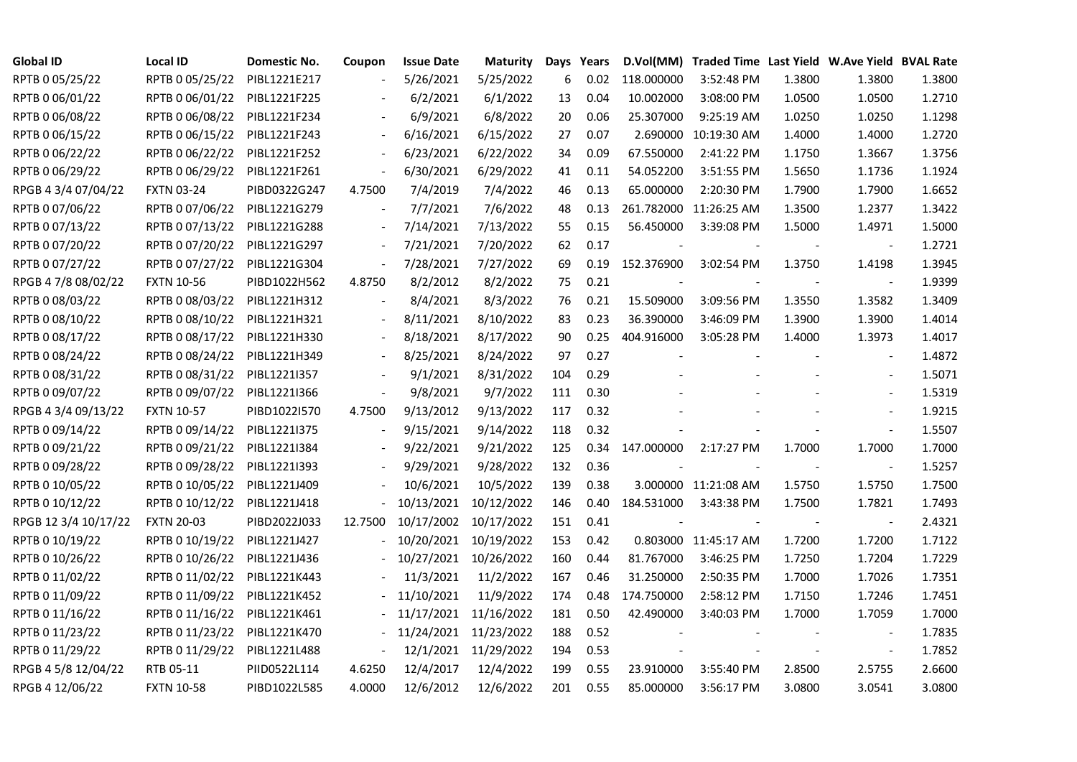| <b>Global ID</b>     | <b>Local ID</b>   | Domestic No. | Coupon                   | <b>Issue Date</b> | <b>Maturity</b>       | Days | Years |            | D.Vol(MM) Traded Time Last Yield W.Ave Yield BVAL Rate |        |                          |        |
|----------------------|-------------------|--------------|--------------------------|-------------------|-----------------------|------|-------|------------|--------------------------------------------------------|--------|--------------------------|--------|
| RPTB 0 05/25/22      | RPTB 0 05/25/22   | PIBL1221E217 |                          | 5/26/2021         | 5/25/2022             | 6    | 0.02  | 118.000000 | 3:52:48 PM                                             | 1.3800 | 1.3800                   | 1.3800 |
| RPTB 0 06/01/22      | RPTB 0 06/01/22   | PIBL1221F225 |                          | 6/2/2021          | 6/1/2022              | 13   | 0.04  | 10.002000  | 3:08:00 PM                                             | 1.0500 | 1.0500                   | 1.2710 |
| RPTB 0 06/08/22      | RPTB 0 06/08/22   | PIBL1221F234 |                          | 6/9/2021          | 6/8/2022              | 20   | 0.06  | 25.307000  | 9:25:19 AM                                             | 1.0250 | 1.0250                   | 1.1298 |
| RPTB 0 06/15/22      | RPTB 0 06/15/22   | PIBL1221F243 | $\blacksquare$           | 6/16/2021         | 6/15/2022             | 27   | 0.07  |            | 2.690000 10:19:30 AM                                   | 1.4000 | 1.4000                   | 1.2720 |
| RPTB 0 06/22/22      | RPTB 0 06/22/22   | PIBL1221F252 | $\overline{\phantom{a}}$ | 6/23/2021         | 6/22/2022             | 34   | 0.09  | 67.550000  | 2:41:22 PM                                             | 1.1750 | 1.3667                   | 1.3756 |
| RPTB 0 06/29/22      | RPTB 0 06/29/22   | PIBL1221F261 | $\sim$                   | 6/30/2021         | 6/29/2022             | 41   | 0.11  | 54.052200  | 3:51:55 PM                                             | 1.5650 | 1.1736                   | 1.1924 |
| RPGB 4 3/4 07/04/22  | <b>FXTN 03-24</b> | PIBD0322G247 | 4.7500                   | 7/4/2019          | 7/4/2022              | 46   | 0.13  | 65.000000  | 2:20:30 PM                                             | 1.7900 | 1.7900                   | 1.6652 |
| RPTB 0 07/06/22      | RPTB 0 07/06/22   | PIBL1221G279 |                          | 7/7/2021          | 7/6/2022              | 48   | 0.13  |            | 261.782000 11:26:25 AM                                 | 1.3500 | 1.2377                   | 1.3422 |
| RPTB 0 07/13/22      | RPTB 0 07/13/22   | PIBL1221G288 | $\overline{\phantom{a}}$ | 7/14/2021         | 7/13/2022             | 55   | 0.15  | 56.450000  | 3:39:08 PM                                             | 1.5000 | 1.4971                   | 1.5000 |
| RPTB 0 07/20/22      | RPTB 0 07/20/22   | PIBL1221G297 | $\overline{\phantom{a}}$ | 7/21/2021         | 7/20/2022             | 62   | 0.17  |            |                                                        |        |                          | 1.2721 |
| RPTB 0 07/27/22      | RPTB 0 07/27/22   | PIBL1221G304 | $\overline{\phantom{a}}$ | 7/28/2021         | 7/27/2022             | 69   | 0.19  | 152.376900 | 3:02:54 PM                                             | 1.3750 | 1.4198                   | 1.3945 |
| RPGB 4 7/8 08/02/22  | <b>FXTN 10-56</b> | PIBD1022H562 | 4.8750                   | 8/2/2012          | 8/2/2022              | 75   | 0.21  |            |                                                        |        | $\blacksquare$           | 1.9399 |
| RPTB 0 08/03/22      | RPTB 0 08/03/22   | PIBL1221H312 | $\blacksquare$           | 8/4/2021          | 8/3/2022              | 76   | 0.21  | 15.509000  | 3:09:56 PM                                             | 1.3550 | 1.3582                   | 1.3409 |
| RPTB 0 08/10/22      | RPTB 0 08/10/22   | PIBL1221H321 |                          | 8/11/2021         | 8/10/2022             | 83   | 0.23  | 36.390000  | 3:46:09 PM                                             | 1.3900 | 1.3900                   | 1.4014 |
| RPTB 0 08/17/22      | RPTB 0 08/17/22   | PIBL1221H330 |                          | 8/18/2021         | 8/17/2022             | 90   | 0.25  | 404.916000 | 3:05:28 PM                                             | 1.4000 | 1.3973                   | 1.4017 |
| RPTB 0 08/24/22      | RPTB 0 08/24/22   | PIBL1221H349 |                          | 8/25/2021         | 8/24/2022             | 97   | 0.27  |            |                                                        |        |                          | 1.4872 |
| RPTB 0 08/31/22      | RPTB 0 08/31/22   | PIBL1221I357 |                          | 9/1/2021          | 8/31/2022             | 104  | 0.29  |            |                                                        |        |                          | 1.5071 |
| RPTB 0 09/07/22      | RPTB 0 09/07/22   | PIBL1221I366 | $\overline{\phantom{a}}$ | 9/8/2021          | 9/7/2022              | 111  | 0.30  |            |                                                        |        |                          | 1.5319 |
| RPGB 4 3/4 09/13/22  | <b>FXTN 10-57</b> | PIBD1022I570 | 4.7500                   | 9/13/2012         | 9/13/2022             | 117  | 0.32  |            |                                                        |        |                          | 1.9215 |
| RPTB 0 09/14/22      | RPTB 0 09/14/22   | PIBL1221I375 |                          | 9/15/2021         | 9/14/2022             | 118  | 0.32  |            |                                                        |        | $\overline{\phantom{a}}$ | 1.5507 |
| RPTB 0 09/21/22      | RPTB 0 09/21/22   | PIBL1221I384 |                          | 9/22/2021         | 9/21/2022             | 125  | 0.34  | 147.000000 | 2:17:27 PM                                             | 1.7000 | 1.7000                   | 1.7000 |
| RPTB 0 09/28/22      | RPTB 0 09/28/22   | PIBL1221I393 |                          | 9/29/2021         | 9/28/2022             | 132  | 0.36  |            |                                                        |        | $\blacksquare$           | 1.5257 |
| RPTB 0 10/05/22      | RPTB 0 10/05/22   | PIBL1221J409 |                          | 10/6/2021         | 10/5/2022             | 139  | 0.38  |            | 3.000000 11:21:08 AM                                   | 1.5750 | 1.5750                   | 1.7500 |
| RPTB 0 10/12/22      | RPTB 0 10/12/22   | PIBL1221J418 |                          | 10/13/2021        | 10/12/2022            | 146  | 0.40  | 184.531000 | 3:43:38 PM                                             | 1.7500 | 1.7821                   | 1.7493 |
| RPGB 12 3/4 10/17/22 | <b>FXTN 20-03</b> | PIBD2022J033 | 12.7500                  | 10/17/2002        | 10/17/2022            | 151  | 0.41  |            |                                                        |        | $\overline{\phantom{a}}$ | 2.4321 |
| RPTB 0 10/19/22      | RPTB 0 10/19/22   | PIBL1221J427 |                          | 10/20/2021        | 10/19/2022            | 153  | 0.42  |            | 0.803000 11:45:17 AM                                   | 1.7200 | 1.7200                   | 1.7122 |
| RPTB 0 10/26/22      | RPTB 0 10/26/22   | PIBL1221J436 |                          |                   | 10/27/2021 10/26/2022 | 160  | 0.44  | 81.767000  | 3:46:25 PM                                             | 1.7250 | 1.7204                   | 1.7229 |
| RPTB 0 11/02/22      | RPTB 0 11/02/22   | PIBL1221K443 |                          | 11/3/2021         | 11/2/2022             | 167  | 0.46  | 31.250000  | 2:50:35 PM                                             | 1.7000 | 1.7026                   | 1.7351 |
| RPTB 0 11/09/22      | RPTB 0 11/09/22   | PIBL1221K452 |                          | 11/10/2021        | 11/9/2022             | 174  | 0.48  | 174.750000 | 2:58:12 PM                                             | 1.7150 | 1.7246                   | 1.7451 |
| RPTB 0 11/16/22      | RPTB 0 11/16/22   | PIBL1221K461 |                          | 11/17/2021        | 11/16/2022            | 181  | 0.50  | 42.490000  | 3:40:03 PM                                             | 1.7000 | 1.7059                   | 1.7000 |
| RPTB 0 11/23/22      | RPTB 0 11/23/22   | PIBL1221K470 |                          |                   | 11/24/2021 11/23/2022 | 188  | 0.52  |            |                                                        |        |                          | 1.7835 |
| RPTB 0 11/29/22      | RPTB 0 11/29/22   | PIBL1221L488 | $\Box$                   |                   | 12/1/2021 11/29/2022  | 194  | 0.53  |            |                                                        |        | $\blacksquare$           | 1.7852 |
| RPGB 4 5/8 12/04/22  | RTB 05-11         | PIID0522L114 | 4.6250                   | 12/4/2017         | 12/4/2022             | 199  | 0.55  | 23.910000  | 3:55:40 PM                                             | 2.8500 | 2.5755                   | 2.6600 |
| RPGB 4 12/06/22      | <b>FXTN 10-58</b> | PIBD1022L585 | 4.0000                   | 12/6/2012         | 12/6/2022             | 201  | 0.55  | 85.000000  | 3:56:17 PM                                             | 3.0800 | 3.0541                   | 3.0800 |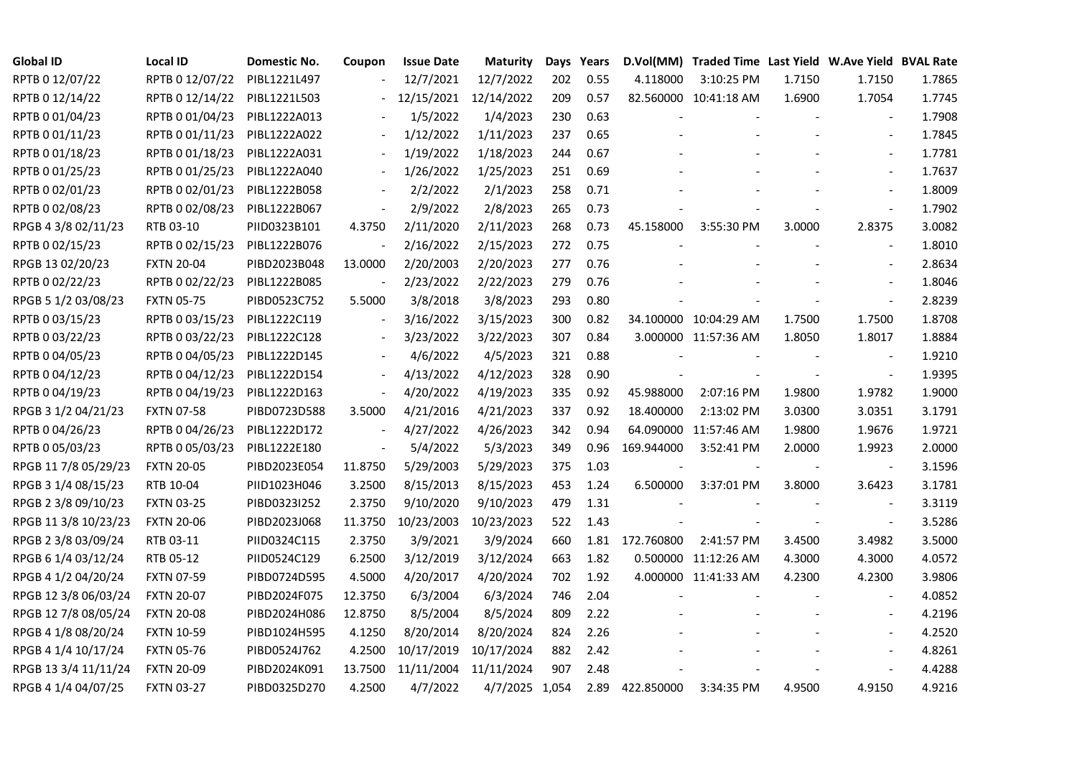| <b>Global ID</b>     | Local ID          | Domestic No. | Coupon                   | <b>Issue Date</b> | Maturity       |     | Days Years |            | D.Vol(MM) Traded Time Last Yield W.Ave Yield BVAL Rate |        |                          |        |
|----------------------|-------------------|--------------|--------------------------|-------------------|----------------|-----|------------|------------|--------------------------------------------------------|--------|--------------------------|--------|
| RPTB 0 12/07/22      | RPTB 0 12/07/22   | PIBL1221L497 |                          | 12/7/2021         | 12/7/2022      | 202 | 0.55       | 4.118000   | 3:10:25 PM                                             | 1.7150 | 1.7150                   | 1.7865 |
| RPTB 0 12/14/22      | RPTB 0 12/14/22   | PIBL1221L503 |                          | 12/15/2021        | 12/14/2022     | 209 | 0.57       |            | 82.560000 10:41:18 AM                                  | 1.6900 | 1.7054                   | 1.7745 |
| RPTB 0 01/04/23      | RPTB 0 01/04/23   | PIBL1222A013 |                          | 1/5/2022          | 1/4/2023       | 230 | 0.63       |            |                                                        |        |                          | 1.7908 |
| RPTB 0 01/11/23      | RPTB 0 01/11/23   | PIBL1222A022 | $\blacksquare$           | 1/12/2022         | 1/11/2023      | 237 | 0.65       |            |                                                        |        |                          | 1.7845 |
| RPTB 0 01/18/23      | RPTB 0 01/18/23   | PIBL1222A031 |                          | 1/19/2022         | 1/18/2023      | 244 | 0.67       |            |                                                        |        |                          | 1.7781 |
| RPTB 0 01/25/23      | RPTB 0 01/25/23   | PIBL1222A040 |                          | 1/26/2022         | 1/25/2023      | 251 | 0.69       |            |                                                        |        |                          | 1.7637 |
| RPTB 0 02/01/23      | RPTB 0 02/01/23   | PIBL1222B058 |                          | 2/2/2022          | 2/1/2023       | 258 | 0.71       |            |                                                        |        | $\sim$                   | 1.8009 |
| RPTB 0 02/08/23      | RPTB 0 02/08/23   | PIBL1222B067 |                          | 2/9/2022          | 2/8/2023       | 265 | 0.73       |            |                                                        |        | $\overline{\phantom{a}}$ | 1.7902 |
| RPGB 4 3/8 02/11/23  | RTB 03-10         | PIID0323B101 | 4.3750                   | 2/11/2020         | 2/11/2023      | 268 | 0.73       | 45.158000  | 3:55:30 PM                                             | 3.0000 | 2.8375                   | 3.0082 |
| RPTB 0 02/15/23      | RPTB 0 02/15/23   | PIBL1222B076 |                          | 2/16/2022         | 2/15/2023      | 272 | 0.75       |            |                                                        |        |                          | 1.8010 |
| RPGB 13 02/20/23     | <b>FXTN 20-04</b> | PIBD2023B048 | 13.0000                  | 2/20/2003         | 2/20/2023      | 277 | 0.76       |            |                                                        |        |                          | 2.8634 |
| RPTB 0 02/22/23      | RPTB 0 02/22/23   | PIBL1222B085 |                          | 2/23/2022         | 2/22/2023      | 279 | 0.76       |            |                                                        |        |                          | 1.8046 |
| RPGB 5 1/2 03/08/23  | <b>FXTN 05-75</b> | PIBD0523C752 | 5.5000                   | 3/8/2018          | 3/8/2023       | 293 | 0.80       |            |                                                        |        |                          | 2.8239 |
| RPTB 0 03/15/23      | RPTB 0 03/15/23   | PIBL1222C119 | $\blacksquare$           | 3/16/2022         | 3/15/2023      | 300 | 0.82       |            | 34.100000 10:04:29 AM                                  | 1.7500 | 1.7500                   | 1.8708 |
| RPTB 0 03/22/23      | RPTB 0 03/22/23   | PIBL1222C128 |                          | 3/23/2022         | 3/22/2023      | 307 | 0.84       |            | 3.000000 11:57:36 AM                                   | 1.8050 | 1.8017                   | 1.8884 |
| RPTB 0 04/05/23      | RPTB 0 04/05/23   | PIBL1222D145 |                          | 4/6/2022          | 4/5/2023       | 321 | 0.88       |            |                                                        |        |                          | 1.9210 |
| RPTB 0 04/12/23      | RPTB 0 04/12/23   | PIBL1222D154 | $\overline{\phantom{a}}$ | 4/13/2022         | 4/12/2023      | 328 | 0.90       |            |                                                        |        |                          | 1.9395 |
| RPTB 0 04/19/23      | RPTB 0 04/19/23   | PIBL1222D163 | $\blacksquare$           | 4/20/2022         | 4/19/2023      | 335 | 0.92       | 45.988000  | 2:07:16 PM                                             | 1.9800 | 1.9782                   | 1.9000 |
| RPGB 3 1/2 04/21/23  | <b>FXTN 07-58</b> | PIBD0723D588 | 3.5000                   | 4/21/2016         | 4/21/2023      | 337 | 0.92       | 18.400000  | 2:13:02 PM                                             | 3.0300 | 3.0351                   | 3.1791 |
| RPTB 0 04/26/23      | RPTB 0 04/26/23   | PIBL1222D172 | $\blacksquare$           | 4/27/2022         | 4/26/2023      | 342 | 0.94       |            | 64.090000 11:57:46 AM                                  | 1.9800 | 1.9676                   | 1.9721 |
| RPTB 0 05/03/23      | RPTB 0 05/03/23   | PIBL1222E180 | $\blacksquare$           | 5/4/2022          | 5/3/2023       | 349 | 0.96       | 169.944000 | 3:52:41 PM                                             | 2.0000 | 1.9923                   | 2.0000 |
| RPGB 11 7/8 05/29/23 | <b>FXTN 20-05</b> | PIBD2023E054 | 11.8750                  | 5/29/2003         | 5/29/2023      | 375 | 1.03       |            |                                                        |        | $\overline{\phantom{a}}$ | 3.1596 |
| RPGB 3 1/4 08/15/23  | RTB 10-04         | PIID1023H046 | 3.2500                   | 8/15/2013         | 8/15/2023      | 453 | 1.24       | 6.500000   | 3:37:01 PM                                             | 3.8000 | 3.6423                   | 3.1781 |
| RPGB 2 3/8 09/10/23  | <b>FXTN 03-25</b> | PIBD0323I252 | 2.3750                   | 9/10/2020         | 9/10/2023      | 479 | 1.31       |            |                                                        |        |                          | 3.3119 |
| RPGB 11 3/8 10/23/23 | <b>FXTN 20-06</b> | PIBD2023J068 | 11.3750                  | 10/23/2003        | 10/23/2023     | 522 | 1.43       |            |                                                        |        |                          | 3.5286 |
| RPGB 2 3/8 03/09/24  | RTB 03-11         | PIID0324C115 | 2.3750                   | 3/9/2021          | 3/9/2024       | 660 | 1.81       | 172.760800 | 2:41:57 PM                                             | 3.4500 | 3.4982                   | 3.5000 |
| RPGB 6 1/4 03/12/24  | RTB 05-12         | PIID0524C129 | 6.2500                   | 3/12/2019         | 3/12/2024      | 663 | 1.82       |            | 0.500000 11:12:26 AM                                   | 4.3000 | 4.3000                   | 4.0572 |
| RPGB 4 1/2 04/20/24  | <b>FXTN 07-59</b> | PIBD0724D595 | 4.5000                   | 4/20/2017         | 4/20/2024      | 702 | 1.92       |            | 4.000000 11:41:33 AM                                   | 4.2300 | 4.2300                   | 3.9806 |
| RPGB 12 3/8 06/03/24 | <b>FXTN 20-07</b> | PIBD2024F075 | 12.3750                  | 6/3/2004          | 6/3/2024       | 746 | 2.04       |            |                                                        |        |                          | 4.0852 |
| RPGB 12 7/8 08/05/24 | <b>FXTN 20-08</b> | PIBD2024H086 | 12.8750                  | 8/5/2004          | 8/5/2024       | 809 | 2.22       |            |                                                        |        |                          | 4.2196 |
| RPGB 4 1/8 08/20/24  | <b>FXTN 10-59</b> | PIBD1024H595 | 4.1250                   | 8/20/2014         | 8/20/2024      | 824 | 2.26       |            |                                                        |        |                          | 4.2520 |
| RPGB 4 1/4 10/17/24  | <b>FXTN 05-76</b> | PIBD0524J762 | 4.2500                   | 10/17/2019        | 10/17/2024     | 882 | 2.42       |            |                                                        |        |                          | 4.8261 |
| RPGB 13 3/4 11/11/24 | <b>FXTN 20-09</b> | PIBD2024K091 | 13.7500                  | 11/11/2004        | 11/11/2024     | 907 | 2.48       |            |                                                        |        |                          | 4.4288 |
| RPGB 4 1/4 04/07/25  | <b>FXTN 03-27</b> | PIBD0325D270 | 4.2500                   | 4/7/2022          | 4/7/2025 1,054 |     | 2.89       | 422.850000 | 3:34:35 PM                                             | 4.9500 | 4.9150                   | 4.9216 |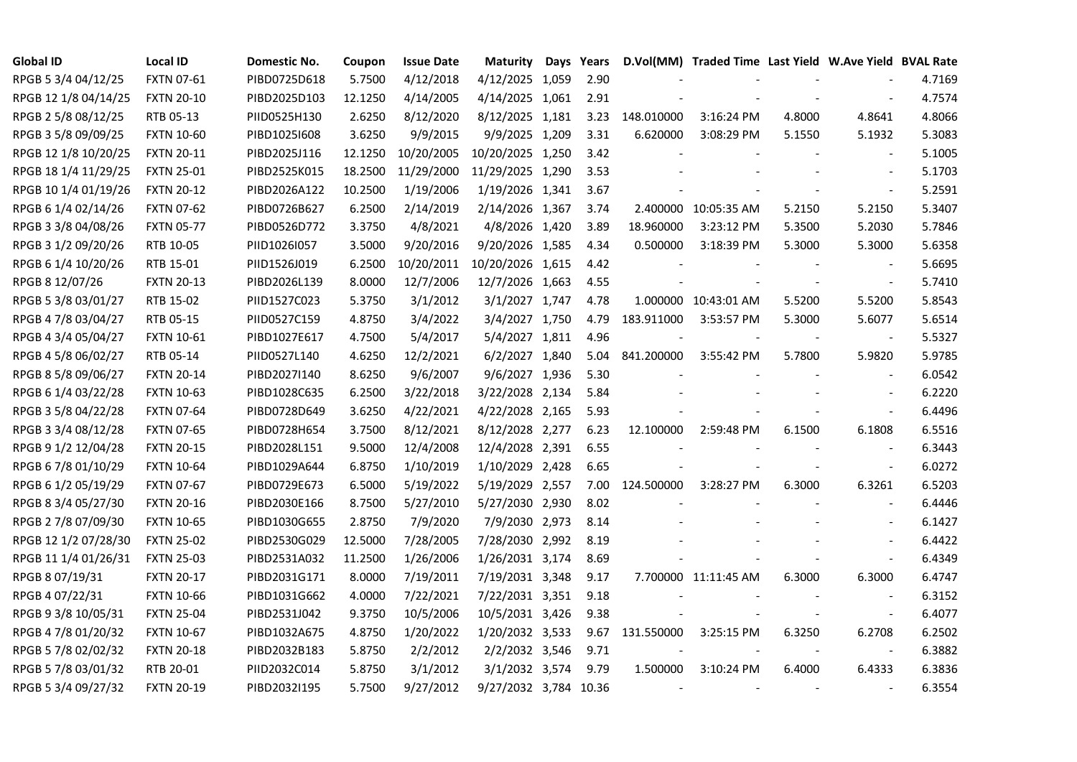| <b>Global ID</b>     | <b>Local ID</b>   | Domestic No. | Coupon  | <b>Issue Date</b> | Maturity              | Days Years |                          | D.Vol(MM) Traded Time Last Yield W.Ave Yield BVAL Rate |        |                          |        |
|----------------------|-------------------|--------------|---------|-------------------|-----------------------|------------|--------------------------|--------------------------------------------------------|--------|--------------------------|--------|
| RPGB 5 3/4 04/12/25  | <b>FXTN 07-61</b> | PIBD0725D618 | 5.7500  | 4/12/2018         | 4/12/2025 1,059       | 2.90       |                          |                                                        |        |                          | 4.7169 |
| RPGB 12 1/8 04/14/25 | <b>FXTN 20-10</b> | PIBD2025D103 | 12.1250 | 4/14/2005         | 4/14/2025 1,061       | 2.91       |                          |                                                        |        |                          | 4.7574 |
| RPGB 2 5/8 08/12/25  | RTB 05-13         | PIID0525H130 | 2.6250  | 8/12/2020         | 8/12/2025 1,181       | 3.23       | 148.010000               | 3:16:24 PM                                             | 4.8000 | 4.8641                   | 4.8066 |
| RPGB 3 5/8 09/09/25  | <b>FXTN 10-60</b> | PIBD10251608 | 3.6250  | 9/9/2015          | 9/9/2025 1,209        | 3.31       | 6.620000                 | 3:08:29 PM                                             | 5.1550 | 5.1932                   | 5.3083 |
| RPGB 12 1/8 10/20/25 | <b>FXTN 20-11</b> | PIBD2025J116 | 12.1250 | 10/20/2005        | 10/20/2025 1,250      | 3.42       |                          |                                                        |        |                          | 5.1005 |
| RPGB 18 1/4 11/29/25 | <b>FXTN 25-01</b> | PIBD2525K015 | 18.2500 | 11/29/2000        | 11/29/2025 1,290      | 3.53       |                          |                                                        |        |                          | 5.1703 |
| RPGB 10 1/4 01/19/26 | <b>FXTN 20-12</b> | PIBD2026A122 | 10.2500 | 1/19/2006         | 1/19/2026 1,341       | 3.67       |                          |                                                        |        | $\overline{\phantom{a}}$ | 5.2591 |
| RPGB 6 1/4 02/14/26  | <b>FXTN 07-62</b> | PIBD0726B627 | 6.2500  | 2/14/2019         | 2/14/2026 1,367       | 3.74       |                          | 2.400000 10:05:35 AM                                   | 5.2150 | 5.2150                   | 5.3407 |
| RPGB 3 3/8 04/08/26  | <b>FXTN 05-77</b> | PIBD0526D772 | 3.3750  | 4/8/2021          | 4/8/2026 1,420        | 3.89       | 18.960000                | 3:23:12 PM                                             | 5.3500 | 5.2030                   | 5.7846 |
| RPGB 3 1/2 09/20/26  | RTB 10-05         | PIID1026I057 | 3.5000  | 9/20/2016         | 9/20/2026 1,585       | 4.34       | 0.500000                 | 3:18:39 PM                                             | 5.3000 | 5.3000                   | 5.6358 |
| RPGB 6 1/4 10/20/26  | RTB 15-01         | PIID1526J019 | 6.2500  | 10/20/2011        | 10/20/2026 1,615      | 4.42       |                          |                                                        |        |                          | 5.6695 |
| RPGB 8 12/07/26      | <b>FXTN 20-13</b> | PIBD2026L139 | 8.0000  | 12/7/2006         | 12/7/2026 1,663       | 4.55       |                          |                                                        |        |                          | 5.7410 |
| RPGB 5 3/8 03/01/27  | RTB 15-02         | PIID1527C023 | 5.3750  | 3/1/2012          | 3/1/2027 1,747        | 4.78       |                          | 1.000000 10:43:01 AM                                   | 5.5200 | 5.5200                   | 5.8543 |
| RPGB 4 7/8 03/04/27  | RTB 05-15         | PIID0527C159 | 4.8750  | 3/4/2022          | 3/4/2027 1,750        | 4.79       | 183.911000               | 3:53:57 PM                                             | 5.3000 | 5.6077                   | 5.6514 |
| RPGB 4 3/4 05/04/27  | <b>FXTN 10-61</b> | PIBD1027E617 | 4.7500  | 5/4/2017          | 5/4/2027 1,811        | 4.96       |                          |                                                        |        | $\blacksquare$           | 5.5327 |
| RPGB 4 5/8 06/02/27  | RTB 05-14         | PIID0527L140 | 4.6250  | 12/2/2021         | 6/2/2027 1,840        | 5.04       | 841.200000               | 3:55:42 PM                                             | 5.7800 | 5.9820                   | 5.9785 |
| RPGB 8 5/8 09/06/27  | <b>FXTN 20-14</b> | PIBD2027I140 | 8.6250  | 9/6/2007          | 9/6/2027 1,936        | 5.30       |                          |                                                        |        |                          | 6.0542 |
| RPGB 6 1/4 03/22/28  | <b>FXTN 10-63</b> | PIBD1028C635 | 6.2500  | 3/22/2018         | 3/22/2028 2,134       | 5.84       |                          |                                                        |        |                          | 6.2220 |
| RPGB 3 5/8 04/22/28  | <b>FXTN 07-64</b> | PIBD0728D649 | 3.6250  | 4/22/2021         | 4/22/2028 2,165       | 5.93       |                          |                                                        |        | $\overline{\phantom{a}}$ | 6.4496 |
| RPGB 3 3/4 08/12/28  | <b>FXTN 07-65</b> | PIBD0728H654 | 3.7500  | 8/12/2021         | 8/12/2028 2,277       | 6.23       | 12.100000                | 2:59:48 PM                                             | 6.1500 | 6.1808                   | 6.5516 |
| RPGB 9 1/2 12/04/28  | <b>FXTN 20-15</b> | PIBD2028L151 | 9.5000  | 12/4/2008         | 12/4/2028 2,391       | 6.55       |                          |                                                        |        |                          | 6.3443 |
| RPGB 67/8 01/10/29   | <b>FXTN 10-64</b> | PIBD1029A644 | 6.8750  | 1/10/2019         | 1/10/2029 2,428       | 6.65       |                          |                                                        |        | $\overline{\phantom{a}}$ | 6.0272 |
| RPGB 6 1/2 05/19/29  | <b>FXTN 07-67</b> | PIBD0729E673 | 6.5000  | 5/19/2022         | 5/19/2029 2,557       | 7.00       | 124.500000               | 3:28:27 PM                                             | 6.3000 | 6.3261                   | 6.5203 |
| RPGB 8 3/4 05/27/30  | <b>FXTN 20-16</b> | PIBD2030E166 | 8.7500  | 5/27/2010         | 5/27/2030 2,930       | 8.02       |                          |                                                        |        |                          | 6.4446 |
| RPGB 2 7/8 07/09/30  | <b>FXTN 10-65</b> | PIBD1030G655 | 2.8750  | 7/9/2020          | 7/9/2030 2,973        | 8.14       |                          |                                                        |        |                          | 6.1427 |
| RPGB 12 1/2 07/28/30 | <b>FXTN 25-02</b> | PIBD2530G029 | 12.5000 | 7/28/2005         | 7/28/2030 2,992       | 8.19       |                          |                                                        |        |                          | 6.4422 |
| RPGB 11 1/4 01/26/31 | <b>FXTN 25-03</b> | PIBD2531A032 | 11.2500 | 1/26/2006         | 1/26/2031 3,174       | 8.69       |                          |                                                        |        | $\overline{\phantom{a}}$ | 6.4349 |
| RPGB 8 07/19/31      | <b>FXTN 20-17</b> | PIBD2031G171 | 8.0000  | 7/19/2011         | 7/19/2031 3,348       | 9.17       |                          | 7.700000 11:11:45 AM                                   | 6.3000 | 6.3000                   | 6.4747 |
| RPGB 4 07/22/31      | <b>FXTN 10-66</b> | PIBD1031G662 | 4.0000  | 7/22/2021         | 7/22/2031 3,351       | 9.18       |                          |                                                        |        |                          | 6.3152 |
| RPGB 9 3/8 10/05/31  | <b>FXTN 25-04</b> | PIBD2531J042 | 9.3750  | 10/5/2006         | 10/5/2031 3,426       | 9.38       |                          |                                                        |        |                          | 6.4077 |
| RPGB 4 7/8 01/20/32  | <b>FXTN 10-67</b> | PIBD1032A675 | 4.8750  | 1/20/2022         | 1/20/2032 3,533       |            | 9.67 131.550000          | 3:25:15 PM                                             | 6.3250 | 6.2708                   | 6.2502 |
| RPGB 5 7/8 02/02/32  | <b>FXTN 20-18</b> | PIBD2032B183 | 5.8750  | 2/2/2012          | 2/2/2032 3,546        | 9.71       |                          |                                                        |        | $\Box$                   | 6.3882 |
| RPGB 5 7/8 03/01/32  | RTB 20-01         | PIID2032C014 | 5.8750  | 3/1/2012          | 3/1/2032 3,574        | 9.79       | 1.500000                 | 3:10:24 PM                                             | 6.4000 | 6.4333                   | 6.3836 |
| RPGB 5 3/4 09/27/32  | <b>FXTN 20-19</b> | PIBD2032I195 | 5.7500  | 9/27/2012         | 9/27/2032 3,784 10.36 |            | $\overline{\phantom{a}}$ | $\overline{\phantom{a}}$                               |        |                          | 6.3554 |